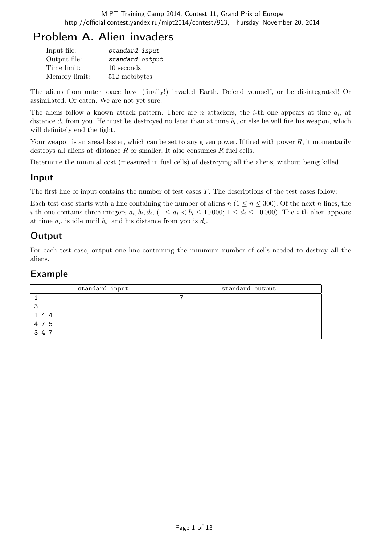# Problem A. Alien invaders

| Input file:   | standard input  |
|---------------|-----------------|
| Output file:  | standard output |
| Time limit:   | 10 seconds      |
| Memory limit: | 512 mebibytes   |

The aliens from outer space have (finally!) invaded Earth. Defend yourself, or be disintegrated! Or assimilated. Or eaten. We are not yet sure.

The aliens follow a known attack pattern. There are  $n$  attackers, the *i*-th one appears at time  $a_i$ , at distance  $d_i$  from you. He must be destroyed no later than at time  $b_i$ , or else he will fire his weapon, which will definitely end the fight.

Your weapon is an area-blaster, which can be set to any given power. If fired with power  $R$ , it momentarily destroys all aliens at distance  $R$  or smaller. It also consumes  $R$  fuel cells.

Determine the minimal cost (measured in fuel cells) of destroying all the aliens, without being killed.

#### Input

The first line of input contains the number of test cases  $T$ . The descriptions of the test cases follow:

Each test case starts with a line containing the number of aliens  $n (1 \le n \le 300)$ . Of the next n lines, the *i*-th one contains three integers  $a_i, b_i, d_i, (1 \le a_i < b_i \le 10000; 1 \le d_i \le 10000)$ . The *i*-th alien appears at time  $a_i$ , is idle until  $b_i$ , and his distance from you is  $d_i$ .

# **Output**

For each test case, output one line containing the minimum number of cells needed to destroy all the aliens.

| standard input | standard output |
|----------------|-----------------|
|                |                 |
| ີ              |                 |
| 144            |                 |
| 4 7 5          |                 |
| 3 4 7          |                 |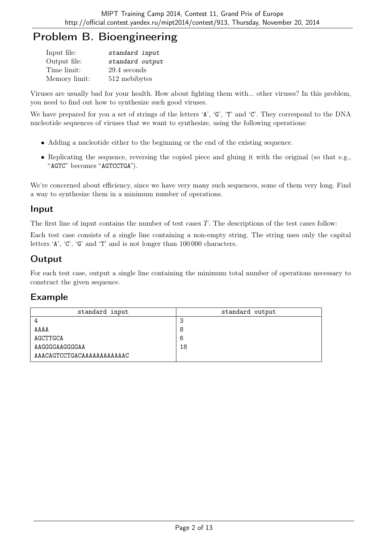# Problem B. Bioengineering

| Input file:   | standard input  |
|---------------|-----------------|
| Output file:  | standard output |
| Time limit:   | 29.4 seconds    |
| Memory limit: | 512 mebibytes   |

Viruses are usually bad for your health. How about fighting them with... other viruses? In this problem, you need to find out how to synthesize such good viruses.

We have prepared for you a set of strings of the letters 'A', 'G', 'T' and 'C'. They correspond to the DNA nucleotide sequences of viruses that we want to synthesize, using the following operations:

- Adding a nucleotide either to the beginning or the end of the existing sequence.
- Replicating the sequence, reversing the copied piece and gluing it with the original (so that e.g., "AGTC" becomes "AGTCCTGA").

We're concerned about efficiency, since we have very many such sequences, some of them very long. Find a way to synthesize them in a minimum number of operations.

#### Input

The first line of input contains the number of test cases T. The descriptions of the test cases follow:

Each test case consists of a single line containing a non-empty string. The string uses only the capital letters 'A', 'C', 'G' and 'T' and is not longer than 100 000 characters.

## Output

For each test case, output a single line containing the minimum total number of operations necessary to construct the given sequence.

| standard input             | standard output |
|----------------------------|-----------------|
|                            | O               |
| AAAA                       | 8               |
| AGCTTGCA                   | 6               |
| AAGGGGAAGGGGAA             | 18              |
| AAACAGTCCTGACAAAAAAAAAAAAC |                 |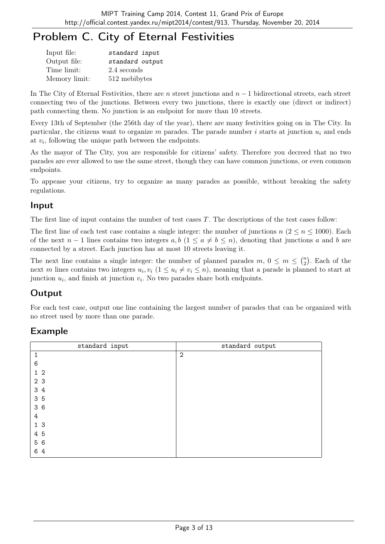# Problem C. City of Eternal Festivities

| Input file:   | standard input  |
|---------------|-----------------|
| Output file:  | standard output |
| Time limit:   | 2.4 seconds     |
| Memory limit: | 512 mebibytes   |

In The City of Eternal Festivities, there are n street junctions and  $n-1$  bidirectional streets, each street connecting two of the junctions. Between every two junctions, there is exactly one (direct or indirect) path connecting them. No junction is an endpoint for more than 10 streets.

Every 13th of September (the 256th day of the year), there are many festivities going on in The City. In particular, the citizens want to organize m parades. The parade number i starts at junction  $u_i$  and ends at  $v_i$ , following the unique path between the endpoints.

As the mayor of The City, you are responsible for citizens' safety. Therefore you decreed that no two parades are ever allowed to use the same street, though they can have common junctions, or even common endpoints.

To appease your citizens, try to organize as many parades as possible, without breaking the safety regulations.

#### Input

The first line of input contains the number of test cases  $T$ . The descriptions of the test cases follow:

The first line of each test case contains a single integer: the number of junctions  $n (2 \le n \le 1000)$ . Each of the next  $n-1$  lines contains two integers  $a, b$  ( $1 \le a \ne b \le n$ ), denoting that junctions a and b are connected by a street. Each junction has at most 10 streets leaving it.

The next line contains a single integer: the number of planned parades  $m, 0 \leq m \leq {n \choose 2}$  $n \choose 2$ . Each of the next m lines contains two integers  $u_i, v_i$   $(1 \le u_i \ne v_i \le n)$ , meaning that a parade is planned to start at junction  $u_i$ , and finish at junction  $v_i$ . No two parades share both endpoints.

# **Output**

For each test case, output one line containing the largest number of parades that can be organized with no street used by more than one parade.

| standard input | standard output |
|----------------|-----------------|
| $\mathbf{1}$   | $\mathbf{2}$    |
| 6              |                 |
| $1\quad2$      |                 |
| 2 3            |                 |
| 3 4            |                 |
| 35             |                 |
| 36             |                 |
| 4              |                 |
| 1 <sub>3</sub> |                 |
| 4 5            |                 |
| 5 6            |                 |
| 6 4            |                 |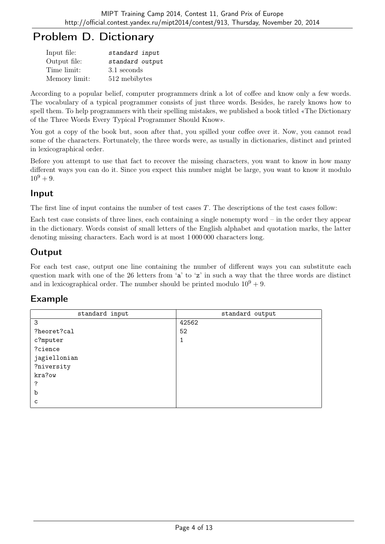# Problem D. Dictionary

| Input file:   | standard input  |
|---------------|-----------------|
| Output file:  | standard output |
| Time limit:   | 3.1 seconds     |
| Memory limit: | 512 mebibytes   |

According to a popular belief, computer programmers drink a lot of coffee and know only a few words. The vocabulary of a typical programmer consists of just three words. Besides, he rarely knows how to spell them. To help programmers with their spelling mistakes, we published a book titled «The Dictionary of the Three Words Every Typical Programmer Should Know».

You got a copy of the book but, soon after that, you spilled your coffee over it. Now, you cannot read some of the characters. Fortunately, the three words were, as usually in dictionaries, distinct and printed in lexicographical order.

Before you attempt to use that fact to recover the missing characters, you want to know in how many different ways you can do it. Since you expect this number might be large, you want to know it modulo  $10^9 + 9.$ 

## Input

The first line of input contains the number of test cases T. The descriptions of the test cases follow:

Each test case consists of three lines, each containing a single nonempty word – in the order they appear in the dictionary. Words consist of small letters of the English alphabet and quotation marks, the latter denoting missing characters. Each word is at most 1 000 000 characters long.

# **Output**

For each test case, output one line containing the number of different ways you can substitute each question mark with one of the 26 letters from 'a' to 'z' in such a way that the three words are distinct and in lexicographical order. The number should be printed modulo  $10^9 + 9$ .

| standard input | standard output |
|----------------|-----------------|
| 3              | 42562           |
| ?heoret?cal    | 52              |
| c?mputer       | 1               |
| ?cience        |                 |
| jagiellonian   |                 |
| ?niversity     |                 |
| kra?ow         |                 |
| ?              |                 |
| b              |                 |
| C              |                 |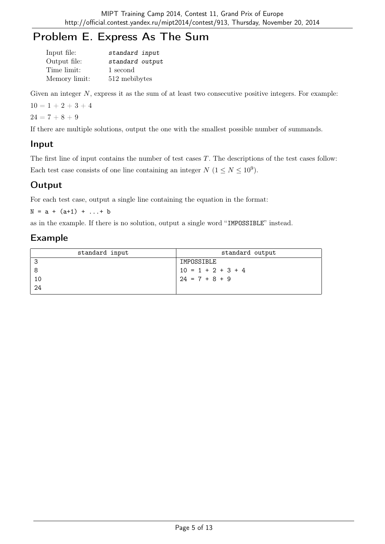# Problem E. Express As The Sum

| Input file:   | standard input  |
|---------------|-----------------|
| Output file:  | standard output |
| Time limit:   | 1 second        |
| Memory limit: | 512 mebibytes   |

Given an integer  $N$ , express it as the sum of at least two consecutive positive integers. For example:

 $10 = 1 + 2 + 3 + 4$ 

 $24 = 7 + 8 + 9$ 

If there are multiple solutions, output the one with the smallest possible number of summands.

#### Input

The first line of input contains the number of test cases T. The descriptions of the test cases follow: Each test case consists of one line containing an integer  $N$   $(1 \le N \le 10^9)$ .

## **Output**

For each test case, output a single line containing the equation in the format:

 $N = a + (a+1) + ... + b$ 

as in the example. If there is no solution, output a single word "IMPOSSIBLE" instead.

| standard input | standard output      |
|----------------|----------------------|
| -3             | IMPOSSIBLE           |
| -8             | $10 = 1 + 2 + 3 + 4$ |
| 10             | $24 = 7 + 8 + 9$     |
| 24             |                      |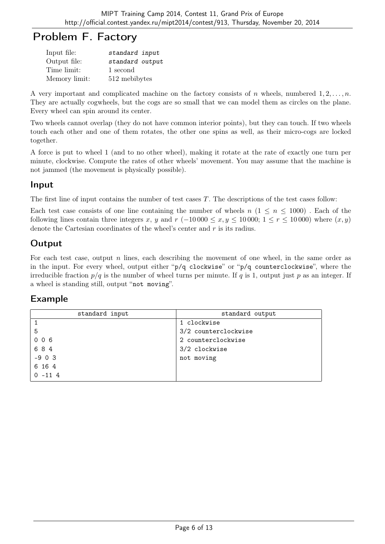# Problem F. Factory

| Input file:   | standard input  |
|---------------|-----------------|
| Output file:  | standard output |
| Time limit:   | 1 second        |
| Memory limit: | 512 mebibytes   |

A very important and complicated machine on the factory consists of n wheels, numbered  $1, 2, \ldots, n$ . They are actually cogwheels, but the cogs are so small that we can model them as circles on the plane. Every wheel can spin around its center.

Two wheels cannot overlap (they do not have common interior points), but they can touch. If two wheels touch each other and one of them rotates, the other one spins as well, as their micro-cogs are locked together.

A force is put to wheel 1 (and to no other wheel), making it rotate at the rate of exactly one turn per minute, clockwise. Compute the rates of other wheels' movement. You may assume that the machine is not jammed (the movement is physically possible).

## Input

The first line of input contains the number of test cases  $T$ . The descriptions of the test cases follow:

Each test case consists of one line containing the number of wheels  $n (1 \leq n \leq 1000)$ . Each of the following lines contain three integers x, y and  $r$  (-10 000 ≤ x, y ≤ 10 000; 1 ≤  $r$  ≤ 10 000) where  $(x, y)$ denote the Cartesian coordinates of the wheel's center and r is its radius.

# Output

For each test case, output  $n$  lines, each describing the movement of one wheel, in the same order as in the input. For every wheel, output either "p/q clockwise" or "p/q counterclockwise", where the irreducible fraction  $p/q$  is the number of wheel turns per minute. If q is 1, output just p as an integer. If a wheel is standing still, output "not moving".

| standard input | standard output      |
|----------------|----------------------|
|                | 1 clockwise          |
| 5              | 3/2 counterclockwise |
| 006            | 2 counterclockwise   |
| 684            | 3/2 clockwise        |
| $-903$         | not moving           |
| 6 16 4         |                      |
| $0 - 114$      |                      |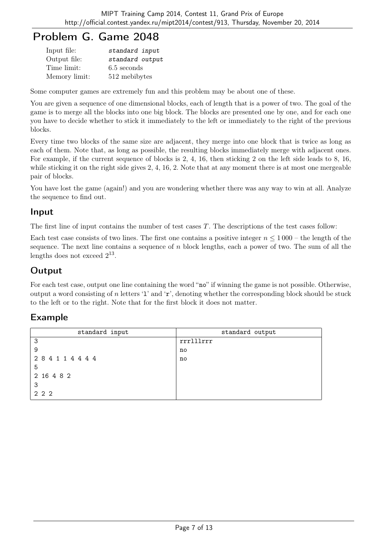# Problem G. Game 2048

| Input file:   | standard input  |
|---------------|-----------------|
| Output file:  | standard output |
| Time limit:   | $6.5$ seconds   |
| Memory limit: | 512 mebibytes   |

Some computer games are extremely fun and this problem may be about one of these.

You are given a sequence of one dimensional blocks, each of length that is a power of two. The goal of the game is to merge all the blocks into one big block. The blocks are presented one by one, and for each one you have to decide whether to stick it immediately to the left or immediately to the right of the previous blocks.

Every time two blocks of the same size are adjacent, they merge into one block that is twice as long as each of them. Note that, as long as possible, the resulting blocks immediately merge with adjacent ones. For example, if the current sequence of blocks is 2, 4, 16, then sticking 2 on the left side leads to 8, 16, while sticking it on the right side gives 2, 4, 16, 2. Note that at any moment there is at most one mergeable pair of blocks.

You have lost the game (again!) and you are wondering whether there was any way to win at all. Analyze the sequence to find out.

## Input

The first line of input contains the number of test cases  $T$ . The descriptions of the test cases follow:

Each test case consists of two lines. The first one contains a positive integer  $n \leq 1000$  – the length of the sequence. The next line contains a sequence of n block lengths, each a power of two. The sum of all the lengths does not exceed  $2^{13}$ .

## Output

For each test case, output one line containing the word "no" if winning the game is not possible. Otherwise, output a word consisting of n letters '1' and ' $r$ ', denoting whether the corresponding block should be stuck to the left or to the right. Note that for the first block it does not matter.

| standard input | standard output |
|----------------|-----------------|
| 3              | rrrlllrrr       |
| 9              | no              |
| 284114444      | no              |
| 5              |                 |
| 2 16 4 8 2     |                 |
| 3              |                 |
| 222            |                 |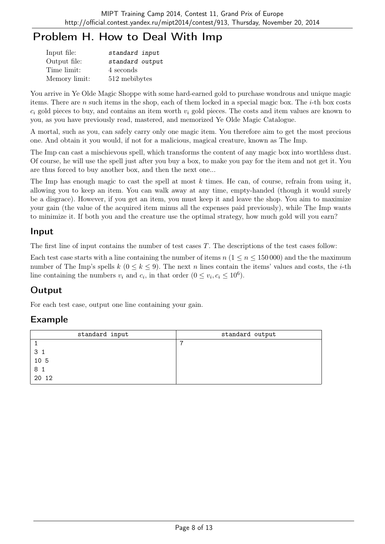# Problem H. How to Deal With Imp

| Input file:   | standard input  |
|---------------|-----------------|
| Output file:  | standard output |
| Time limit:   | 4 seconds       |
| Memory limit: | 512 mebibytes   |

You arrive in Ye Olde Magic Shoppe with some hard-earned gold to purchase wondrous and unique magic items. There are n such items in the shop, each of them locked in a special magic box. The  $i$ -th box costs  $c_i$  gold pieces to buy, and contains an item worth  $v_i$  gold pieces. The costs and item values are known to you, as you have previously read, mastered, and memorized Ye Olde Magic Catalogue.

A mortal, such as you, can safely carry only one magic item. You therefore aim to get the most precious one. And obtain it you would, if not for a malicious, magical creature, known as The Imp.

The Imp can cast a mischievous spell, which transforms the content of any magic box into worthless dust. Of course, he will use the spell just after you buy a box, to make you pay for the item and not get it. You are thus forced to buy another box, and then the next one...

The Imp has enough magic to cast the spell at most  $k$  times. He can, of course, refrain from using it, allowing you to keep an item. You can walk away at any time, empty-handed (though it would surely be a disgrace). However, if you get an item, you must keep it and leave the shop. You aim to maximize your gain (the value of the acquired item minus all the expenses paid previously), while The Imp wants to minimize it. If both you and the creature use the optimal strategy, how much gold will you earn?

#### Input

The first line of input contains the number of test cases  $T$ . The descriptions of the test cases follow:

Each test case starts with a line containing the number of items  $n (1 \leq n \leq 150000)$  and the the maximum number of The Imp's spells k  $(0 \le k \le 9)$ . The next n lines contain the items' values and costs, the *i*-th line containing the numbers  $v_i$  and  $c_i$ , in that order  $(0 \le v_i, c_i \le 10^6)$ .

# **Output**

For each test case, output one line containing your gain.

| standard input | standard output |
|----------------|-----------------|
|                | -               |
| 3 1            |                 |
| 10 5           |                 |
| 8 1            |                 |
| 20 12          |                 |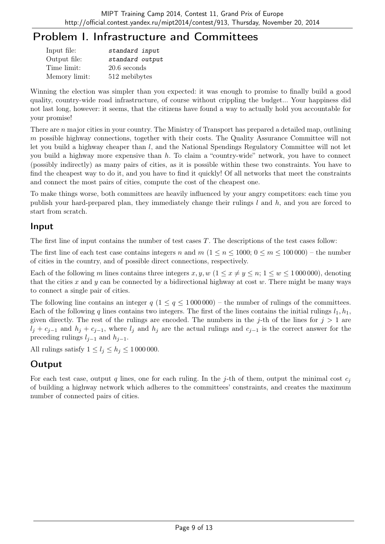# Problem I. Infrastructure and Committees

| Input file:   | standard input  |
|---------------|-----------------|
| Output file:  | standard output |
| Time limit:   | $20.6$ seconds  |
| Memory limit: | 512 mebibytes   |

Winning the election was simpler than you expected: it was enough to promise to finally build a good quality, country-wide road infrastructure, of course without crippling the budget... Your happiness did not last long, however: it seems, that the citizens have found a way to actually hold you accountable for your promise!

There are n major cities in your country. The Ministry of Transport has prepared a detailed map, outlining m possible highway connections, together with their costs. The Quality Assurance Committee will not let you build a highway cheaper than l, and the National Spendings Regulatory Committee will not let you build a highway more expensive than  $h$ . To claim a "country-wide" network, you have to connect (possibly indirectly) as many pairs of cities, as it is possible within these two constraints. You have to find the cheapest way to do it, and you have to find it quickly! Of all networks that meet the constraints and connect the most pairs of cities, compute the cost of the cheapest one.

To make things worse, both committees are heavily influenced by your angry competitors: each time you publish your hard-prepared plan, they immediately change their rulings  $l$  and  $h$ , and you are forced to start from scratch.

## Input

The first line of input contains the number of test cases  $T$ . The descriptions of the test cases follow:

The first line of each test case contains integers n and  $m (1 \le n \le 1000; 0 \le m \le 100000)$  – the number of cities in the country, and of possible direct connections, respectively.

Each of the following m lines contains three integers x, y, w  $(1 \le x \ne y \le n; 1 \le w \le 1000000)$ , denoting that the cities x and y can be connected by a bidirectional highway at cost  $w$ . There might be many ways to connect a single pair of cities.

The following line contains an integer  $q$  (1  $\leq$   $q$   $\leq$  1 000 000) – the number of rulings of the committees. Each of the following q lines contains two integers. The first of the lines contains the initial rulings  $l_1, h_1$ , given directly. The rest of the rulings are encoded. The numbers in the j-th of the lines for  $j > 1$  are  $l_i + c_{i-1}$  and  $h_i + c_{i-1}$ , where  $l_i$  and  $h_j$  are the actual rulings and  $c_{i-1}$  is the correct answer for the preceding rulings  $l_{i-1}$  and  $h_{i-1}$ .

All rulings satisfy  $1 \leq l_j \leq h_j \leq 1000000$ .

# **Output**

For each test case, output q lines, one for each ruling. In the j-th of them, output the minimal cost  $c_i$ of building a highway network which adheres to the committees' constraints, and creates the maximum number of connected pairs of cities.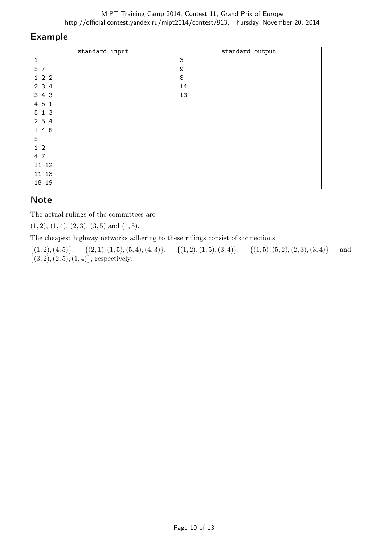#### Example

| standard input | standard output |
|----------------|-----------------|
| $\mathbf{1}$   | $\mathsf 3$     |
| 5 7            | 9               |
| 122            | 8               |
| 2 3 4          | 14              |
| 3 4 3          | 13              |
| 4 5 1          |                 |
| 5 1 3          |                 |
| 2 5 4          |                 |
| 1 4 5          |                 |
| 5              |                 |
| $1\,2$         |                 |
| 4 7            |                 |
| 11 12          |                 |
| 11 13          |                 |
| 18 19          |                 |

# **Note**

The actual rulings of the committees are

 $(1, 2), (1, 4), (2, 3), (3, 5) \text{ and } (4, 5).$ 

The cheapest highway networks adhering to these rulings consist of connections

 $\{(1, 2), (4, 5)\}, \{ (2, 1), (1, 5), (5, 4), (4, 3)\}, \{ (1, 2), (1, 5), (3, 4)\}, \{ (1, 5), (5, 2), (2, 3), (3, 4)\}$  and  $\{(3, 2), (2, 5), (1, 4)\},$  respectively.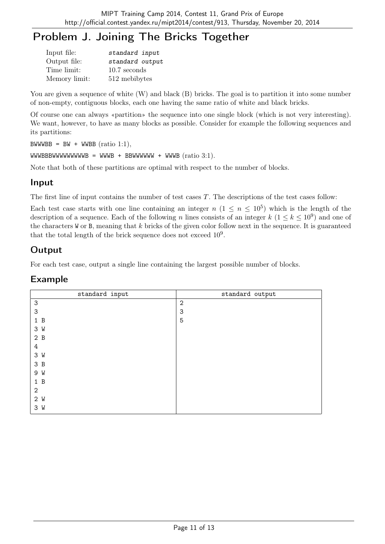# Problem J. Joining The Bricks Together

| Input file:   | standard input  |
|---------------|-----------------|
| Output file:  | standard output |
| Time limit:   | $10.7$ seconds  |
| Memory limit: | 512 mebibytes   |

You are given a sequence of white  $(W)$  and black  $(B)$  bricks. The goal is to partition it into some number of non-empty, contiguous blocks, each one having the same ratio of white and black bricks.

Of course one can always «partition» the sequence into one single block (which is not very interesting). We want, however, to have as many blocks as possible. Consider for example the following sequences and its partitions:

 $BWWWBB = BW + WWBB (ratio 1:1),$ 

WWWBBBWWWWWWWWWB = WWWB + BBWWWWWW + WWWB  $(ratio 3:1)$ .

Note that both of these partitions are optimal with respect to the number of blocks.

#### Input

The first line of input contains the number of test cases T. The descriptions of the test cases follow:

Each test case starts with one line containing an integer  $n (1 \le n \le 10^5)$  which is the length of the description of a sequence. Each of the following n lines consists of an integer  $k$   $(1 \leq k \leq 10^9)$  and one of the characters  $W$  or B, meaning that  $k$  bricks of the given color follow next in the sequence. It is guaranteed that the total length of the brick sequence does not exceed  $10^9$ .

## Output

For each test case, output a single line containing the largest possible number of blocks.

| standard input            | standard output |
|---------------------------|-----------------|
| $\ensuremath{\mathsf{3}}$ | $\mathbf{2}$    |
| 3                         | 3               |
| 1 B                       | 5               |
| 3 W                       |                 |
| 2B                        |                 |
| 4                         |                 |
| 3 W                       |                 |
| 3B                        |                 |
| 9 W                       |                 |
| 1 B                       |                 |
| $\mathbf{2}$              |                 |
| 2 W                       |                 |
| 3 W                       |                 |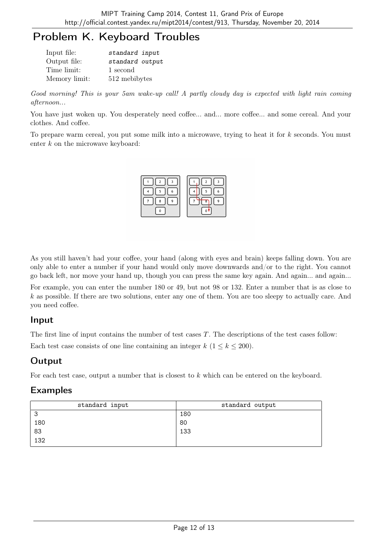# Problem K. Keyboard Troubles

| Input file:   | standard input  |
|---------------|-----------------|
| Output file:  | standard output |
| Time limit:   | 1 second        |
| Memory limit: | 512 mebibytes   |

Good morning! This is your 5am wake-up call! A partly cloudy day is expected with light rain coming afternoon...

You have just woken up. You desperately need coffee... and... more coffee... and some cereal. And your clothes. And coffee.

To prepare warm cereal, you put some milk into a microwave, trying to heat it for k seconds. You must enter  $k$  on the microwave keyboard:



As you still haven't had your coffee, your hand (along with eyes and brain) keeps falling down. You are only able to enter a number if your hand would only move downwards and/or to the right. You cannot go back left, nor move your hand up, though you can press the same key again. And again... and again...

For example, you can enter the number 180 or 49, but not 98 or 132. Enter a number that is as close to k as possible. If there are two solutions, enter any one of them. You are too sleepy to actually care. And you need coffee.

## Input

The first line of input contains the number of test cases  $T$ . The descriptions of the test cases follow: Each test case consists of one line containing an integer  $k$  ( $1 \leq k \leq 200$ ).

# Output

For each test case, output a number that is closest to k which can be entered on the keyboard.

| standard input | standard output |
|----------------|-----------------|
| З              | 180             |
| 180            | 80              |
| 83             | 133             |
| 132            |                 |